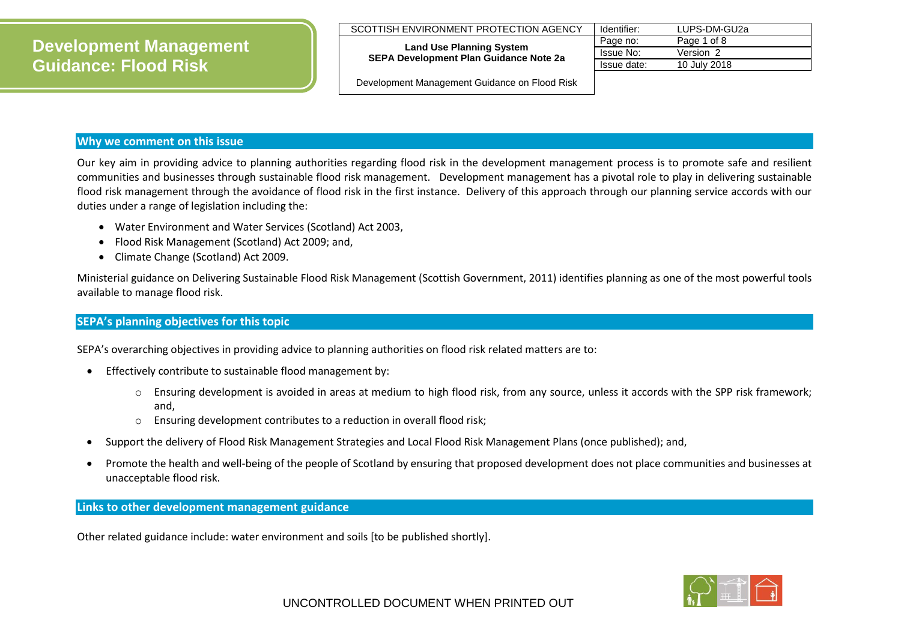**Land Use Planning System SEPA Development Plan Guidance Note 2a**

| Identifier:      | LUPS-DM-GU2a |
|------------------|--------------|
| Page no:         | Page 1 of 8  |
| <b>Issue No:</b> | Version 2    |
| Issue date:      | 10 July 2018 |

Development Management Guidance on Flood Risk

## **Why we comment on this issue**

Our key aim in providing advice to planning authorities regarding flood risk in the development management process is to promote safe and resilient communities and businesses through sustainable flood risk management. Development management has a pivotal role to play in delivering sustainable flood risk management through the avoidance of flood risk in the first instance. Delivery of this approach through our planning service accords with our duties under a range of legislation including the:

- Water Environment and Water Services (Scotland) Act 2003,
- Flood Risk Management (Scotland) Act 2009; and,
- Climate Change (Scotland) Act 2009.

Ministerial guidance on Delivering Sustainable Flood Risk Management (Scottish Government, 2011) identifies planning as one of the most powerful tools available to manage flood risk.

# **SEPA's planning objectives for this topic**

SEPA's overarching objectives in providing advice to planning authorities on flood risk related matters are to:

- **•** Effectively contribute to sustainable flood management by:
	- o Ensuring development is avoided in areas at medium to high flood risk, from any source, unless it accords with the SPP risk framework; and,
	- o Ensuring development contributes to a reduction in overall flood risk;
- Support the delivery of Flood Risk Management Strategies and Local Flood Risk Management Plans (once published); and,
- Promote the health and well-being of the people of Scotland by ensuring that proposed development does not place communities and businesses at unacceptable flood risk.

**Links to other development management guidance**

Other related guidance include: water environment and soils [to be published shortly].

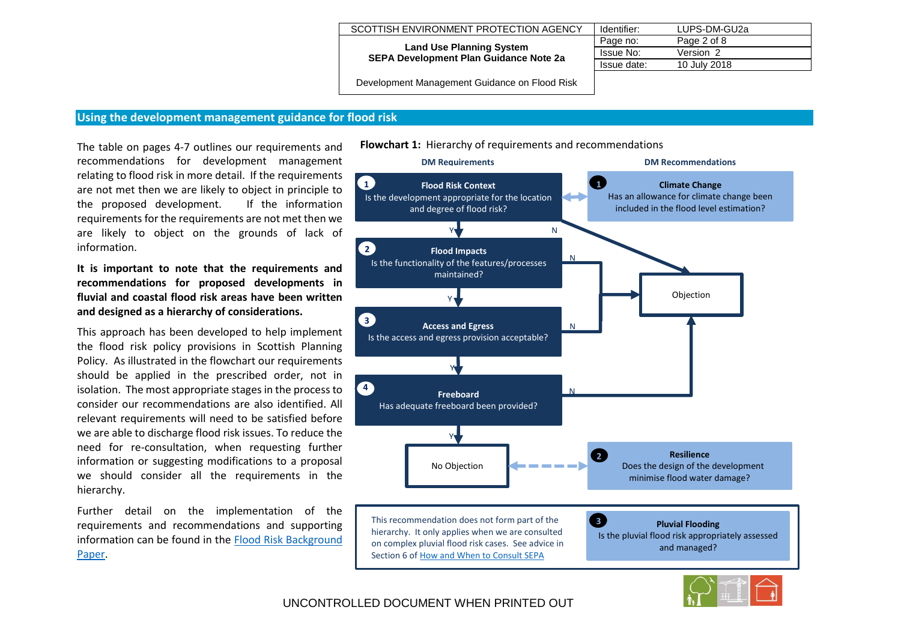#### **Land Use Planning System SEPA Development Plan Guidance Note 2a**

| Identifier:      | LUPS-DM-GU2a |
|------------------|--------------|
| Page no:         | Page 2 of 8  |
| <b>Issue No:</b> | Version 2    |
| Issue date:      | 10 July 2018 |

Development Management Guidance on Flood Risk

## **Using the development management guidance for flood risk**

The table on pages 4-7 outlines our requirements and recommendations for development management relating to flood risk in more detail. If the requirements are not met then we are likely to object in principle to the proposed development. If the information requirements for the requirements are not met then we are likely to object on the grounds of lack of information.

**It is important to note that the requirements and recommendations for proposed developments in fluvial and coastal flood risk areas have been written and designed as a hierarchy of considerations.**

This approach has been developed to help implement the flood risk policy provisions in Scottish Planning Policy. As illustrated in the flowchart our requirements should be applied in the prescribed order, not in isolation. The most appropriate stages in the process to consider our recommendations are also identified. All relevant requirements will need to be satisfied before we are able to discharge flood risk issues. To reduce the need for re-consultation, when requesting further information or suggesting modifications to a proposal we should consider all the requirements in the hierarchy.

Further detail on the implementation of the requirements and recommendations and supporting information can be found in the [Flood Risk Background](http://www.sepa.org.uk/media/162837/lups-bp-gu2a-land-use-planning-background-paper-on-flood-risk.pdf)  [Paper.](http://www.sepa.org.uk/media/162837/lups-bp-gu2a-land-use-planning-background-paper-on-flood-risk.pdf)



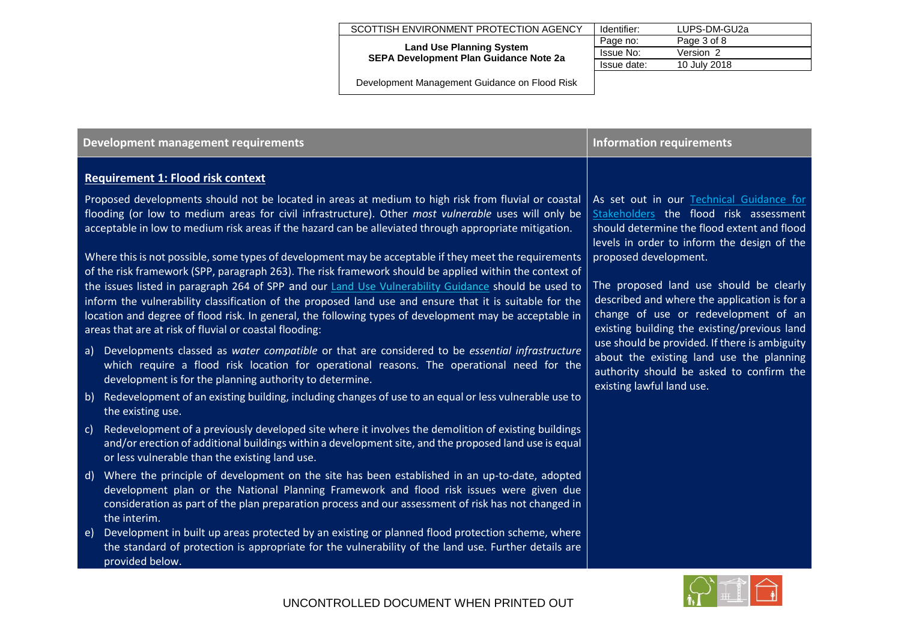**Land Use Planning System SEPA Development Plan Guidance Note 2a**

| Identifier: | LUPS-DM-GU2a |
|-------------|--------------|
| Page no:    | Page 3 of 8  |
| Issue No:   | Version 2    |
| Issue date: | 10 July 2018 |

| Development management requirements                                                                                                                                                                                                                                                                                                                                                | <b>Information requirements</b>                                                                                                                                                  |
|------------------------------------------------------------------------------------------------------------------------------------------------------------------------------------------------------------------------------------------------------------------------------------------------------------------------------------------------------------------------------------|----------------------------------------------------------------------------------------------------------------------------------------------------------------------------------|
| <b>Requirement 1: Flood risk context</b>                                                                                                                                                                                                                                                                                                                                           |                                                                                                                                                                                  |
| Proposed developments should not be located in areas at medium to high risk from fluvial or coastal<br>flooding (or low to medium areas for civil infrastructure). Other most vulnerable uses will only be<br>acceptable in low to medium risk areas if the hazard can be alleviated through appropriate mitigation.                                                               | As set out in our Technical Guidance for<br>Stakeholders the flood risk assessment<br>should determine the flood extent and flood<br>levels in order to inform the design of the |
| Where this is not possible, some types of development may be acceptable if they meet the requirements<br>of the risk framework (SPP, paragraph 263). The risk framework should be applied within the context of                                                                                                                                                                    | proposed development.                                                                                                                                                            |
| the issues listed in paragraph 264 of SPP and our Land Use Vulnerability Guidance should be used to<br>inform the vulnerability classification of the proposed land use and ensure that it is suitable for the<br>location and degree of flood risk. In general, the following types of development may be acceptable in<br>areas that are at risk of fluvial or coastal flooding: | The proposed land use should be clearly<br>described and where the application is for a<br>change of use or redevelopment of an<br>existing building the existing/previous land  |
| Developments classed as water compatible or that are considered to be essential infrastructure<br>a)<br>which require a flood risk location for operational reasons. The operational need for the<br>development is for the planning authority to determine.                                                                                                                       | use should be provided. If there is ambiguity<br>about the existing land use the planning<br>authority should be asked to confirm the<br>existing lawful land use.               |
| Redevelopment of an existing building, including changes of use to an equal or less vulnerable use to<br>b)<br>the existing use.                                                                                                                                                                                                                                                   |                                                                                                                                                                                  |
| Redevelopment of a previously developed site where it involves the demolition of existing buildings<br> c <br>and/or erection of additional buildings within a development site, and the proposed land use is equal<br>or less vulnerable than the existing land use.                                                                                                              |                                                                                                                                                                                  |
| Where the principle of development on the site has been established in an up-to-date, adopted<br>$\mathsf{d}$<br>development plan or the National Planning Framework and flood risk issues were given due<br>consideration as part of the plan preparation process and our assessment of risk has not changed in<br>the interim.                                                   |                                                                                                                                                                                  |
| Development in built up areas protected by an existing or planned flood protection scheme, where<br>$\epsilon$ )<br>the standard of protection is appropriate for the vulnerability of the land use. Further details are<br>provided below.                                                                                                                                        |                                                                                                                                                                                  |

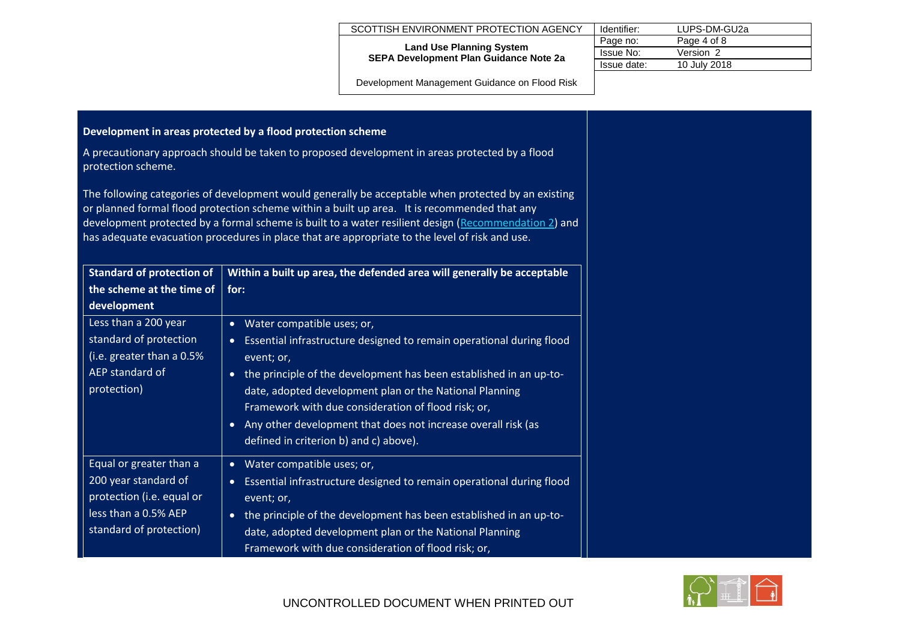| SCOTTISH ENVIRONMENT PROTECTION AGENCY   Identifier: |  | LUPS-DM-GU2a |
|------------------------------------------------------|--|--------------|
|------------------------------------------------------|--|--------------|

#### **Land Use Planning System SEPA Development Plan Guidance Note 2a**

| Identifier: | LUPS-DM-GU2a |
|-------------|--------------|
| Page no:    | Page 4 of 8  |
| Issue No:   | Version 2    |
| Issue date: | 10 July 2018 |

| Development in areas protected by a flood protection scheme                                                                     |                                                                                                                                                                                                                                                                                                                                                                                                                             |
|---------------------------------------------------------------------------------------------------------------------------------|-----------------------------------------------------------------------------------------------------------------------------------------------------------------------------------------------------------------------------------------------------------------------------------------------------------------------------------------------------------------------------------------------------------------------------|
| A precautionary approach should be taken to proposed development in areas protected by a flood<br>protection scheme.            |                                                                                                                                                                                                                                                                                                                                                                                                                             |
|                                                                                                                                 | The following categories of development would generally be acceptable when protected by an existing<br>or planned formal flood protection scheme within a built up area. It is recommended that any<br>development protected by a formal scheme is built to a water resilient design (Recommendation 2) and<br>has adequate evacuation procedures in place that are appropriate to the level of risk and use.               |
| <b>Standard of protection of</b><br>Within a built up area, the defended area will generally be acceptable                      |                                                                                                                                                                                                                                                                                                                                                                                                                             |
| the scheme at the time of<br>development                                                                                        | for:                                                                                                                                                                                                                                                                                                                                                                                                                        |
| Less than a 200 year<br>standard of protection<br>(i.e. greater than a 0.5%<br>AEP standard of<br>protection)                   | • Water compatible uses; or,<br>• Essential infrastructure designed to remain operational during flood<br>event; or,<br>• the principle of the development has been established in an up-to-<br>date, adopted development plan or the National Planning<br>Framework with due consideration of flood risk; or,<br>• Any other development that does not increase overall risk (as<br>defined in criterion b) and c) above). |
| Equal or greater than a<br>200 year standard of<br>protection (i.e. equal or<br>less than a 0.5% AEP<br>standard of protection) | • Water compatible uses; or,<br>• Essential infrastructure designed to remain operational during flood<br>event; or,<br>• the principle of the development has been established in an up-to-<br>date, adopted development plan or the National Planning<br>Framework with due consideration of flood risk; or,                                                                                                              |

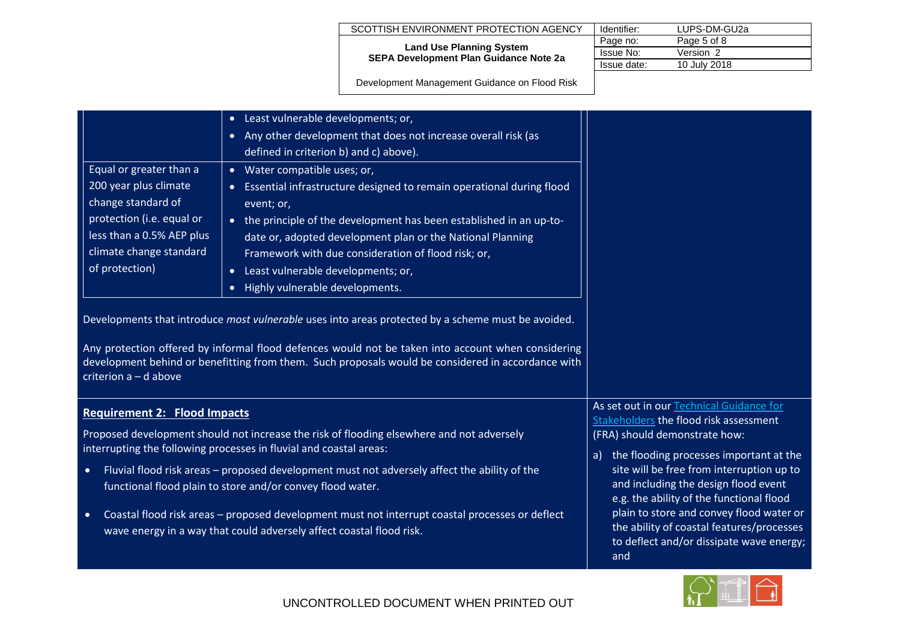#### **Land Use Planning System SEPA Development Plan Guidance Note 2a**

| Identifier:      | LUPS-DM-GU2a |
|------------------|--------------|
| Page no:         | Page 5 of 8  |
| <b>Issue No:</b> | Version 2    |
| Issue date:      | 10 July 2018 |

| Equal or greater than a<br>200 year plus climate<br>change standard of<br>protection (i.e. equal or<br>less than a 0.5% AEP plus<br>climate change standard<br>of protection) | Least vulnerable developments; or,<br>$\bullet$<br>Any other development that does not increase overall risk (as<br>$\bullet$<br>defined in criterion b) and c) above).<br>• Water compatible uses; or,<br>Essential infrastructure designed to remain operational during flood<br>event; or,<br>the principle of the development has been established in an up-to-<br>$\bullet$<br>date or, adopted development plan or the National Planning<br>Framework with due consideration of flood risk; or,<br>Least vulnerable developments; or,<br>$\bullet$<br>Highly vulnerable developments.<br>$\bullet$<br>Developments that introduce most vulnerable uses into areas protected by a scheme must be avoided. |                                                                                                                                                                                                                                                                                                                                                                                                                                                   |
|-------------------------------------------------------------------------------------------------------------------------------------------------------------------------------|----------------------------------------------------------------------------------------------------------------------------------------------------------------------------------------------------------------------------------------------------------------------------------------------------------------------------------------------------------------------------------------------------------------------------------------------------------------------------------------------------------------------------------------------------------------------------------------------------------------------------------------------------------------------------------------------------------------|---------------------------------------------------------------------------------------------------------------------------------------------------------------------------------------------------------------------------------------------------------------------------------------------------------------------------------------------------------------------------------------------------------------------------------------------------|
| criterion $a - d$ above                                                                                                                                                       | Any protection offered by informal flood defences would not be taken into account when considering<br>development behind or benefitting from them. Such proposals would be considered in accordance with                                                                                                                                                                                                                                                                                                                                                                                                                                                                                                       |                                                                                                                                                                                                                                                                                                                                                                                                                                                   |
| <b>Requirement 2: Flood Impacts</b><br>$\bullet$<br>$\bullet$                                                                                                                 | Proposed development should not increase the risk of flooding elsewhere and not adversely<br>interrupting the following processes in fluvial and coastal areas:<br>Fluvial flood risk areas - proposed development must not adversely affect the ability of the<br>functional flood plain to store and/or convey flood water.<br>Coastal flood risk areas - proposed development must not interrupt coastal processes or deflect<br>wave energy in a way that could adversely affect coastal flood risk.                                                                                                                                                                                                       | As set out in our Technical Guidance for<br>Stakeholders the flood risk assessment<br>(FRA) should demonstrate how:<br>the flooding processes important at the<br>a)<br>site will be free from interruption up to<br>and including the design flood event<br>e.g. the ability of the functional flood<br>plain to store and convey flood water or<br>the ability of coastal features/processes<br>to deflect and/or dissipate wave energy;<br>and |

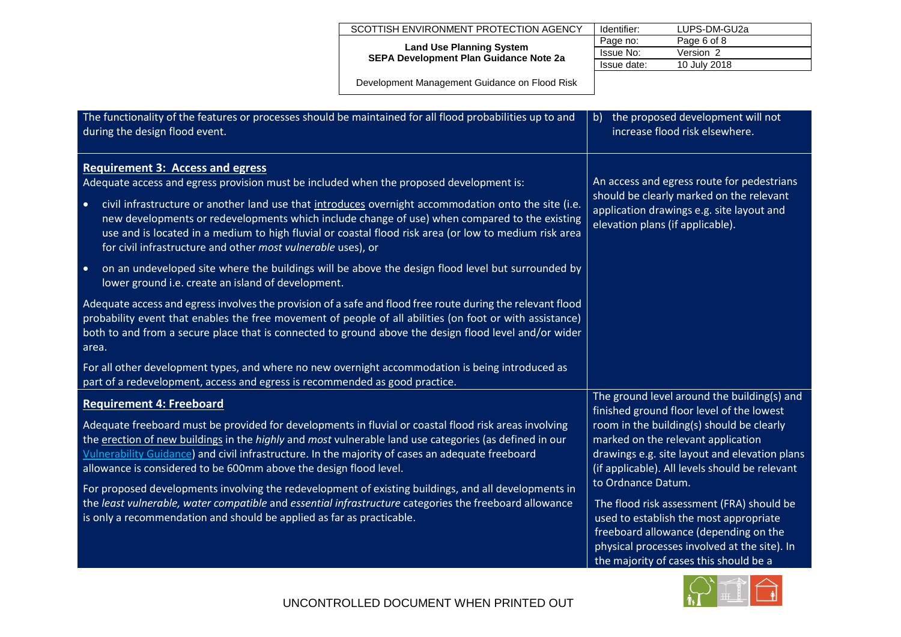**Land Use Planning System SEPA Development Plan Guidance Note 2a**

| Identifier: | LUPS-DM-GU2a |
|-------------|--------------|
| Page no:    | Page 6 of 8  |
| Issue No:   | Version 2    |
| Issue date: | 10 July 2018 |
|             |              |

| The functionality of the features or processes should be maintained for all flood probabilities up to and<br>during the design flood event.                                                                                                                                                                                                                                                     | the proposed development will not<br>$\mathsf{b}$<br>increase flood risk elsewhere.                                                                                                                                                          |
|-------------------------------------------------------------------------------------------------------------------------------------------------------------------------------------------------------------------------------------------------------------------------------------------------------------------------------------------------------------------------------------------------|----------------------------------------------------------------------------------------------------------------------------------------------------------------------------------------------------------------------------------------------|
| <b>Requirement 3: Access and egress</b><br>Adequate access and egress provision must be included when the proposed development is:                                                                                                                                                                                                                                                              | An access and egress route for pedestrians                                                                                                                                                                                                   |
| civil infrastructure or another land use that introduces overnight accommodation onto the site (i.e.<br>$\bullet$<br>new developments or redevelopments which include change of use) when compared to the existing<br>use and is located in a medium to high fluvial or coastal flood risk area (or low to medium risk area<br>for civil infrastructure and other most vulnerable uses), or     | should be clearly marked on the relevant<br>application drawings e.g. site layout and<br>elevation plans (if applicable).                                                                                                                    |
| on an undeveloped site where the buildings will be above the design flood level but surrounded by<br>$\bullet$<br>lower ground i.e. create an island of development.                                                                                                                                                                                                                            |                                                                                                                                                                                                                                              |
| Adequate access and egress involves the provision of a safe and flood free route during the relevant flood<br>probability event that enables the free movement of people of all abilities (on foot or with assistance)<br>both to and from a secure place that is connected to ground above the design flood level and/or wider<br>area.                                                        |                                                                                                                                                                                                                                              |
| For all other development types, and where no new overnight accommodation is being introduced as<br>part of a redevelopment, access and egress is recommended as good practice.                                                                                                                                                                                                                 |                                                                                                                                                                                                                                              |
| <b>Requirement 4: Freeboard</b>                                                                                                                                                                                                                                                                                                                                                                 | The ground level around the building(s) and<br>finished ground floor level of the lowest                                                                                                                                                     |
| Adequate freeboard must be provided for developments in fluvial or coastal flood risk areas involving<br>the erection of new buildings in the <i>highly</i> and most vulnerable land use categories (as defined in our<br>Vulnerability Guidance) and civil infrastructure. In the majority of cases an adequate freeboard<br>allowance is considered to be 600mm above the design flood level. | room in the building(s) should be clearly<br>marked on the relevant application<br>drawings e.g. site layout and elevation plans<br>(if applicable). All levels should be relevant                                                           |
| For proposed developments involving the redevelopment of existing buildings, and all developments in<br>the least vulnerable, water compatible and essential infrastructure categories the freeboard allowance<br>is only a recommendation and should be applied as far as practicable.                                                                                                         | to Ordnance Datum.<br>The flood risk assessment (FRA) should be<br>used to establish the most appropriate<br>freeboard allowance (depending on the<br>physical processes involved at the site). In<br>the majority of cases this should be a |

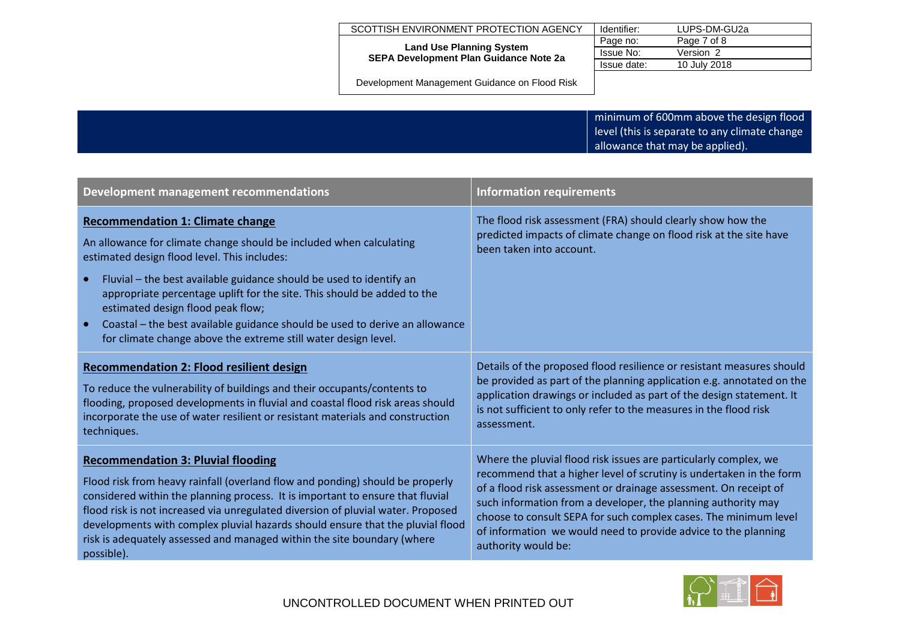| SCOTTISH ENVIRONMENT PROTECTION AGENCY                                           | Identifier: | LUPS-DM-GU2a |
|----------------------------------------------------------------------------------|-------------|--------------|
|                                                                                  | Page no:    | Page 7 of 8  |
| <b>Land Use Planning System</b><br><b>SEPA Development Plan Guidance Note 2a</b> | Issue No:   | Version 2    |
|                                                                                  | Issue date: | 10 July 2018 |

Development Management Guidance on Flood Risk

minimum of 600mm above the design flood level (this is separate to any climate change allowance that may be applied).

<span id="page-6-0"></span>

| Development management recommendations                                                                                                                                                                                                                                                                                                                                                                                                                                                                              | <b>Information requirements</b>                                                                                                                               |
|---------------------------------------------------------------------------------------------------------------------------------------------------------------------------------------------------------------------------------------------------------------------------------------------------------------------------------------------------------------------------------------------------------------------------------------------------------------------------------------------------------------------|---------------------------------------------------------------------------------------------------------------------------------------------------------------|
| <b>Recommendation 1: Climate change</b><br>An allowance for climate change should be included when calculating<br>estimated design flood level. This includes:<br>Fluvial – the best available guidance should be used to identify an<br>$\bullet$<br>appropriate percentage uplift for the site. This should be added to the<br>estimated design flood peak flow;<br>Coastal – the best available guidance should be used to derive an allowance<br>for climate change above the extreme still water design level. | The flood risk assessment (FRA) should clearly show how the<br>predicted impacts of climate change on flood risk at the site have<br>been taken into account. |
| <b>Recommendation 2: Flood resilient design</b>                                                                                                                                                                                                                                                                                                                                                                                                                                                                     | Details of the proposed flood resilience or resistant measures should                                                                                         |
| To reduce the vulnerability of buildings and their occupants/contents to                                                                                                                                                                                                                                                                                                                                                                                                                                            | be provided as part of the planning application e.g. annotated on the                                                                                         |
| flooding, proposed developments in fluvial and coastal flood risk areas should                                                                                                                                                                                                                                                                                                                                                                                                                                      | application drawings or included as part of the design statement. It                                                                                          |
| incorporate the use of water resilient or resistant materials and construction                                                                                                                                                                                                                                                                                                                                                                                                                                      | is not sufficient to only refer to the measures in the flood risk                                                                                             |
| techniques.                                                                                                                                                                                                                                                                                                                                                                                                                                                                                                         | assessment.                                                                                                                                                   |
| <b>Recommendation 3: Pluvial flooding</b>                                                                                                                                                                                                                                                                                                                                                                                                                                                                           | Where the pluvial flood risk issues are particularly complex, we                                                                                              |
| Flood risk from heavy rainfall (overland flow and ponding) should be properly                                                                                                                                                                                                                                                                                                                                                                                                                                       | recommend that a higher level of scrutiny is undertaken in the form                                                                                           |
| considered within the planning process. It is important to ensure that fluvial                                                                                                                                                                                                                                                                                                                                                                                                                                      | of a flood risk assessment or drainage assessment. On receipt of                                                                                              |
| flood risk is not increased via unregulated diversion of pluvial water. Proposed                                                                                                                                                                                                                                                                                                                                                                                                                                    | such information from a developer, the planning authority may                                                                                                 |
| developments with complex pluvial hazards should ensure that the pluvial flood                                                                                                                                                                                                                                                                                                                                                                                                                                      | choose to consult SEPA for such complex cases. The minimum level                                                                                              |
| risk is adequately assessed and managed within the site boundary (where                                                                                                                                                                                                                                                                                                                                                                                                                                             | of information we would need to provide advice to the planning                                                                                                |
| possible).                                                                                                                                                                                                                                                                                                                                                                                                                                                                                                          | authority would be:                                                                                                                                           |